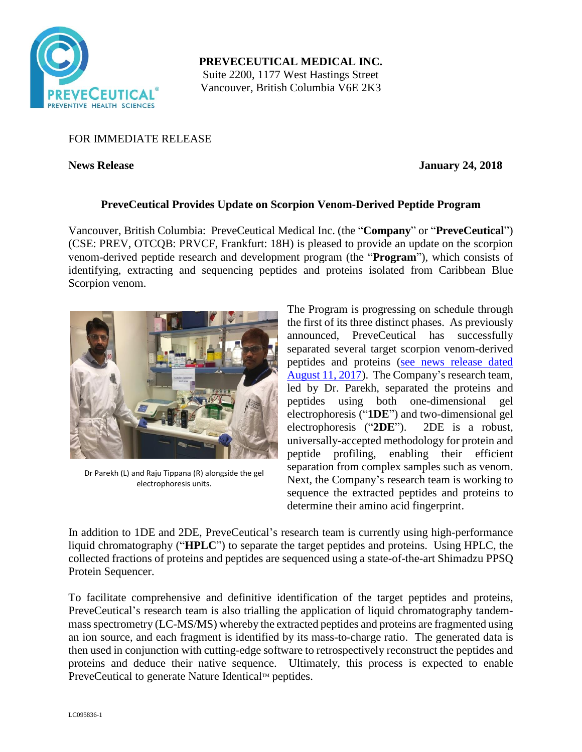

**PREVECEUTICAL MEDICAL INC.** Suite 2200, 1177 West Hastings Street Vancouver, British Columbia V6E 2K3

## FOR IMMEDIATE RELEASE

**News Release January 24, 2018** 

# **PreveCeutical Provides Update on Scorpion Venom-Derived Peptide Program**

Vancouver, British Columbia: PreveCeutical Medical Inc. (the "**Company**" or "**PreveCeutical**") (CSE: PREV, OTCQB: PRVCF, Frankfurt: 18H) is pleased to provide an update on the scorpion venom-derived peptide research and development program (the "**Program**"), which consists of identifying, extracting and sequencing peptides and proteins isolated from Caribbean Blue Scorpion venom.



Dr Parekh (L) and Raju Tippana (R) alongside the gel electrophoresis units.

The Program is progressing on schedule through the first of its three distinct phases. As previously announced, PreveCeutical has successfully separated several target scorpion venom-derived peptides and proteins [\(see news release dated](https://preveceutical.com/investors/news/index.php?content_id=85)  [August 11, 2017\)](https://preveceutical.com/investors/news/index.php?content_id=85). The Company's research team, led by Dr. Parekh, separated the proteins and peptides using both one-dimensional gel electrophoresis ("**1DE**") and two-dimensional gel electrophoresis ("**2DE**"). 2DE is a robust, universally-accepted methodology for protein and peptide profiling, enabling their efficient separation from complex samples such as venom. Next, the Company's research team is working to sequence the extracted peptides and proteins to determine their amino acid fingerprint.

In addition to 1DE and 2DE, PreveCeutical's research team is currently using high-performance liquid chromatography ("**HPLC**") to separate the target peptides and proteins. Using HPLC, the collected fractions of proteins and peptides are sequenced using a state-of-the-art Shimadzu PPSQ Protein Sequencer.

To facilitate comprehensive and definitive identification of the target peptides and proteins, PreveCeutical's research team is also trialling the application of liquid chromatography tandemmass spectrometry (LC-MS/MS) whereby the extracted peptides and proteins are fragmented using an ion source, and each fragment is identified by its mass-to-charge ratio. The generated data is then used in conjunction with cutting-edge software to retrospectively reconstruct the peptides and proteins and deduce their native sequence. Ultimately, this process is expected to enable PreveCeutical to generate Nature Identical<sup>TM</sup> peptides.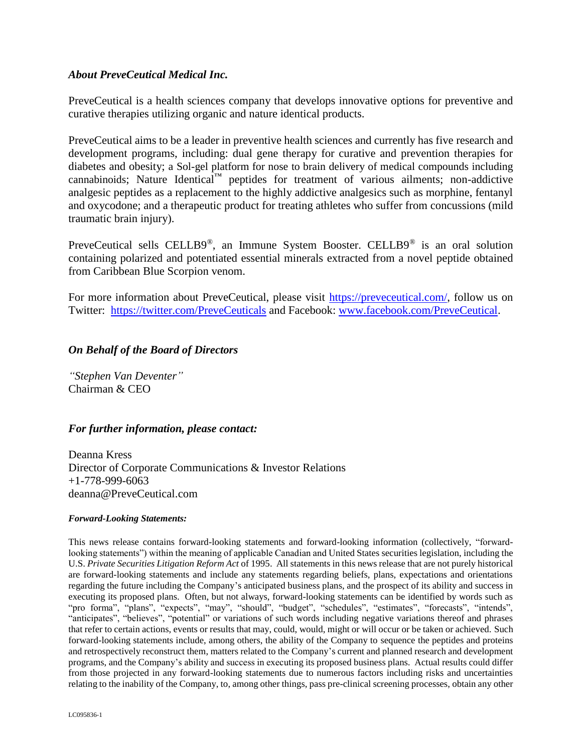#### *About PreveCeutical Medical Inc.*

PreveCeutical is a health sciences company that develops innovative options for preventive and curative therapies utilizing organic and nature identical products.

PreveCeutical aims to be a leader in preventive health sciences and currently has five research and development programs, including: dual gene therapy for curative and prevention therapies for diabetes and obesity; a Sol-gel platform for nose to brain delivery of medical compounds including cannabinoids; Nature Identical™ peptides for treatment of various ailments; non-addictive analgesic peptides as a replacement to the highly addictive analgesics such as morphine, fentanyl and oxycodone; and a therapeutic product for treating athletes who suffer from concussions (mild traumatic brain injury).

PreveCeutical sells CELLB9®, an Immune System Booster. CELLB9® is an oral solution containing polarized and potentiated essential minerals extracted from a novel peptide obtained from Caribbean Blue Scorpion venom.

For more information about PreveCeutical, please visit [https://preveceutical.com/,](https://preveceutical.com/) follow us on Twitter: <https://twitter.com/PreveCeuticals> and Facebook: [www.facebook.com/PreveCeutical.](http://www.facebook.com/PreveCeutical)

### *On Behalf of the Board of Directors*

*"Stephen Van Deventer"* Chairman & CEO

### *For further information, please contact:*

Deanna Kress Director of Corporate Communications & Investor Relations +1-778-999-6063 deanna@PreveCeutical.com

#### *Forward-Looking Statements:*

This news release contains forward-looking statements and forward-looking information (collectively, "forwardlooking statements") within the meaning of applicable Canadian and United States securities legislation, including the U.S. *Private Securities Litigation Reform Act* of 1995. All statements in this news release that are not purely historical are forward-looking statements and include any statements regarding beliefs, plans, expectations and orientations regarding the future including the Company's anticipated business plans, and the prospect of its ability and success in executing its proposed plans. Often, but not always, forward-looking statements can be identified by words such as "pro forma", "plans", "expects", "may", "should", "budget", "schedules", "estimates", "forecasts", "intends", "anticipates", "believes", "potential" or variations of such words including negative variations thereof and phrases that refer to certain actions, events or results that may, could, would, might or will occur or be taken or achieved. Such forward-looking statements include, among others, the ability of the Company to sequence the peptides and proteins and retrospectively reconstruct them, matters related to the Company's current and planned research and development programs, and the Company's ability and success in executing its proposed business plans. Actual results could differ from those projected in any forward-looking statements due to numerous factors including risks and uncertainties relating to the inability of the Company, to, among other things, pass pre-clinical screening processes, obtain any other